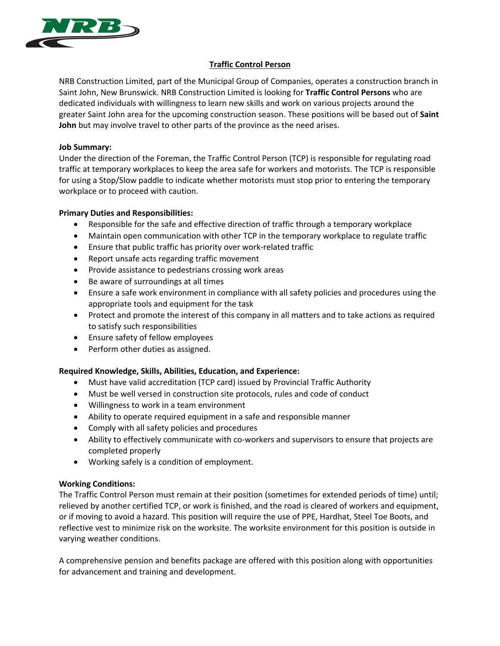

# **Traffic Control Person**

NRB Construction Limited, part of the Municipal Group of Companies, operates a construction branch in Saint John, New Brunswick. NRB Construction Limited is looking for **Traffic Control Persons** who are dedicated individuals with willingness to learn new skills and work on various projects around the greater Saint John area for the upcoming construction season. These positions will be based out of **Saint John** but may involve travel to other parts of the province as the need arises.

### **Job Summary:**

Under the direction of the Foreman, the Traffic Control Person (TCP) is responsible for regulating road traffic at temporary workplaces to keep the area safe for workers and motorists. The TCP is responsible for using a Stop/Slow paddle to indicate whether motorists must stop prior to entering the temporary workplace or to proceed with caution.

# **Primary Duties and Responsibilities:**

- Responsible for the safe and effective direction of traffic through a temporary workplace
- Maintain open communication with other TCP in the temporary workplace to regulate traffic
- Ensure that public traffic has priority over work-related traffic
- Report unsafe acts regarding traffic movement
- Provide assistance to pedestrians crossing work areas
- Be aware of surroundings at all times
- Ensure a safe work environment in compliance with all safety policies and procedures using the appropriate tools and equipment for the task
- Protect and promote the interest of this company in all matters and to take actions as required to satisfy such responsibilities
- Ensure safety of fellow employees
- Perform other duties as assigned.

# **Required Knowledge, Skills, Abilities, Education, and Experience:**

- Must have valid accreditation (TCP card) issued by Provincial Traffic Authority
- Must be well versed in construction site protocols, rules and code of conduct
- Willingness to work in a team environment
- Ability to operate required equipment in a safe and responsible manner
- Comply with all safety policies and procedures
- Ability to effectively communicate with co-workers and supervisors to ensure that projects are completed properly
- Working safely is a condition of employment.

# **Working Conditions:**

The Traffic Control Person must remain at their position (sometimes for extended periods of time) until; relieved by another certified TCP, or work is finished, and the road is cleared of workers and equipment, or if moving to avoid a hazard. This position will require the use of PPE, Hardhat, Steel Toe Boots, and reflective vest to minimize risk on the worksite. The worksite environment for this position is outside in varying weather conditions.

A comprehensive pension and benefits package are offered with this position along with opportunities for advancement and training and development.